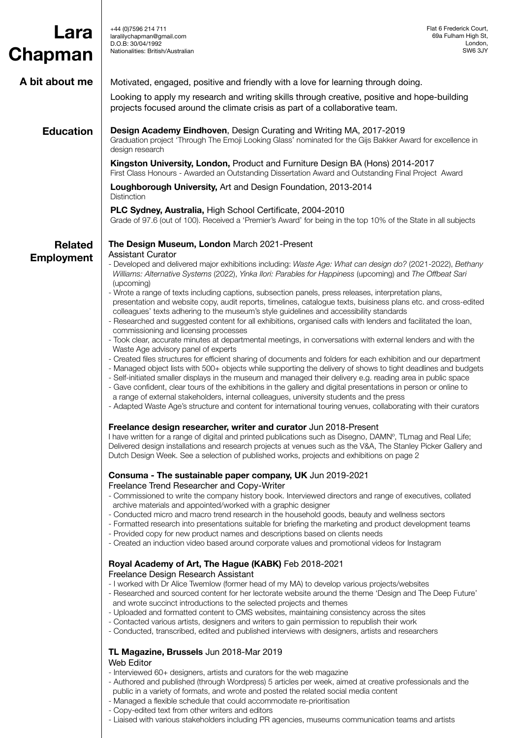| Lara<br>Chapman   | +44 (0) 7596 214 711<br>laralilychapman@gmail.com<br>D.O.B: 30/04/1992<br>Nationalities: British/Australian                                                                                                                                                                                                                                                                                                                                                                                                                                                                                                                                                                           | Flat 6 Frederick Court,<br>69a Fulham High St,<br>London,<br>SW6 3JY |  |
|-------------------|---------------------------------------------------------------------------------------------------------------------------------------------------------------------------------------------------------------------------------------------------------------------------------------------------------------------------------------------------------------------------------------------------------------------------------------------------------------------------------------------------------------------------------------------------------------------------------------------------------------------------------------------------------------------------------------|----------------------------------------------------------------------|--|
|                   |                                                                                                                                                                                                                                                                                                                                                                                                                                                                                                                                                                                                                                                                                       |                                                                      |  |
| A bit about me    | Motivated, engaged, positive and friendly with a love for learning through doing.                                                                                                                                                                                                                                                                                                                                                                                                                                                                                                                                                                                                     |                                                                      |  |
|                   | Looking to apply my research and writing skills through creative, positive and hope-building<br>projects focused around the climate crisis as part of a collaborative team.                                                                                                                                                                                                                                                                                                                                                                                                                                                                                                           |                                                                      |  |
| <b>Education</b>  | Design Academy Eindhoven, Design Curating and Writing MA, 2017-2019<br>Graduation project 'Through The Emoji Looking Glass' nominated for the Gijs Bakker Award for excellence in<br>design research                                                                                                                                                                                                                                                                                                                                                                                                                                                                                  |                                                                      |  |
|                   | Kingston University, London, Product and Furniture Design BA (Hons) 2014-2017<br>First Class Honours - Awarded an Outstanding Dissertation Award and Outstanding Final Project Award                                                                                                                                                                                                                                                                                                                                                                                                                                                                                                  |                                                                      |  |
|                   | Loughborough University, Art and Design Foundation, 2013-2014<br><b>Distinction</b>                                                                                                                                                                                                                                                                                                                                                                                                                                                                                                                                                                                                   |                                                                      |  |
|                   | PLC Sydney, Australia, High School Certificate, 2004-2010<br>Grade of 97.6 (out of 100). Received a 'Premier's Award' for being in the top 10% of the State in all subjects                                                                                                                                                                                                                                                                                                                                                                                                                                                                                                           |                                                                      |  |
| <b>Related</b>    | The Design Museum, London March 2021-Present                                                                                                                                                                                                                                                                                                                                                                                                                                                                                                                                                                                                                                          |                                                                      |  |
| <b>Employment</b> | <b>Assistant Curator</b><br>- Developed and delivered major exhibitions including: Waste Age: What can design do? (2021-2022), Bethany<br>Williams: Alternative Systems (2022), Yinka Ilori: Parables for Happiness (upcoming) and The Offbeat Sari<br>(upcoming)                                                                                                                                                                                                                                                                                                                                                                                                                     |                                                                      |  |
|                   | - Wrote a range of texts including captions, subsection panels, press releases, interpretation plans,<br>presentation and website copy, audit reports, timelines, catalogue texts, buisiness plans etc. and cross-edited<br>colleagues' texts adhering to the museum's style guidelines and accessibility standards<br>- Researched and suggested content for all exhibitions, organised calls with lenders and facilitated the loan,                                                                                                                                                                                                                                                 |                                                                      |  |
|                   | commissioning and licensing processes<br>- Took clear, accurate minutes at departmental meetings, in conversations with external lenders and with the<br>Waste Age advisory panel of experts                                                                                                                                                                                                                                                                                                                                                                                                                                                                                          |                                                                      |  |
|                   | - Created files structures for efficient sharing of documents and folders for each exhibition and our department<br>- Managed object lists with 500+ objects while supporting the delivery of shows to tight deadlines and budgets<br>- Self-initiated smaller displays in the museum and managed their delivery e.g. reading area in public space<br>- Gave confident, clear tours of the exhibitions in the gallery and digital presentations in person or online to<br>a range of external stakeholders, internal colleagues, university students and the press<br>- Adapted Waste Age's structure and content for international touring venues, collaborating with their curators |                                                                      |  |
|                   | Freelance design researcher, writer and curator Jun 2018-Present                                                                                                                                                                                                                                                                                                                                                                                                                                                                                                                                                                                                                      |                                                                      |  |
|                   | I have written for a range of digital and printed publications such as Disegno, DAMN°, TLmag and Real Life;<br>Delivered design installations and research projects at venues such as the V&A, The Stanley Picker Gallery and<br>Dutch Design Week. See a selection of published works, projects and exhibitions on page 2                                                                                                                                                                                                                                                                                                                                                            |                                                                      |  |
|                   | Consuma - The sustainable paper company, UK Jun 2019-2021                                                                                                                                                                                                                                                                                                                                                                                                                                                                                                                                                                                                                             |                                                                      |  |
|                   | Freelance Trend Researcher and Copy-Writer<br>- Commissioned to write the company history book. Interviewed directors and range of executives, collated                                                                                                                                                                                                                                                                                                                                                                                                                                                                                                                               |                                                                      |  |
|                   | archive materials and appointed/worked with a graphic designer<br>- Conducted micro and macro trend research in the household goods, beauty and wellness sectors<br>- Formatted research into presentations suitable for briefing the marketing and product development teams<br>- Provided copy for new product names and descriptions based on clients needs<br>- Created an induction video based around corporate values and promotional videos for Instagram                                                                                                                                                                                                                     |                                                                      |  |
|                   | Royal Academy of Art, The Hague (KABK) Feb 2018-2021                                                                                                                                                                                                                                                                                                                                                                                                                                                                                                                                                                                                                                  |                                                                      |  |
|                   | Freelance Design Research Assistant<br>- I worked with Dr Alice Twemlow (former head of my MA) to develop various projects/websites<br>- Researched and sourced content for her lectorate website around the theme 'Design and The Deep Future'<br>and wrote succinct introductions to the selected projects and themes<br>- Uploaded and formatted content to CMS websites, maintaining consistency across the sites                                                                                                                                                                                                                                                                 |                                                                      |  |
|                   | - Contacted various artists, designers and writers to gain permission to republish their work<br>- Conducted, transcribed, edited and published interviews with designers, artists and researchers                                                                                                                                                                                                                                                                                                                                                                                                                                                                                    |                                                                      |  |
|                   | TL Magazine, Brussels Jun 2018-Mar 2019<br>Web Editor                                                                                                                                                                                                                                                                                                                                                                                                                                                                                                                                                                                                                                 |                                                                      |  |
|                   | - Interviewed 60+ designers, artists and curators for the web magazine<br>- Authored and published (through Wordpress) 5 articles per week, aimed at creative professionals and the<br>public in a variety of formats, and wrote and posted the related social media content<br>- Managed a flexible schedule that could accommodate re-prioritisation<br>- Copy-edited text from other writers and editors                                                                                                                                                                                                                                                                           |                                                                      |  |

- Liaised with various stakeholders including PR agencies, museums communication teams and artists